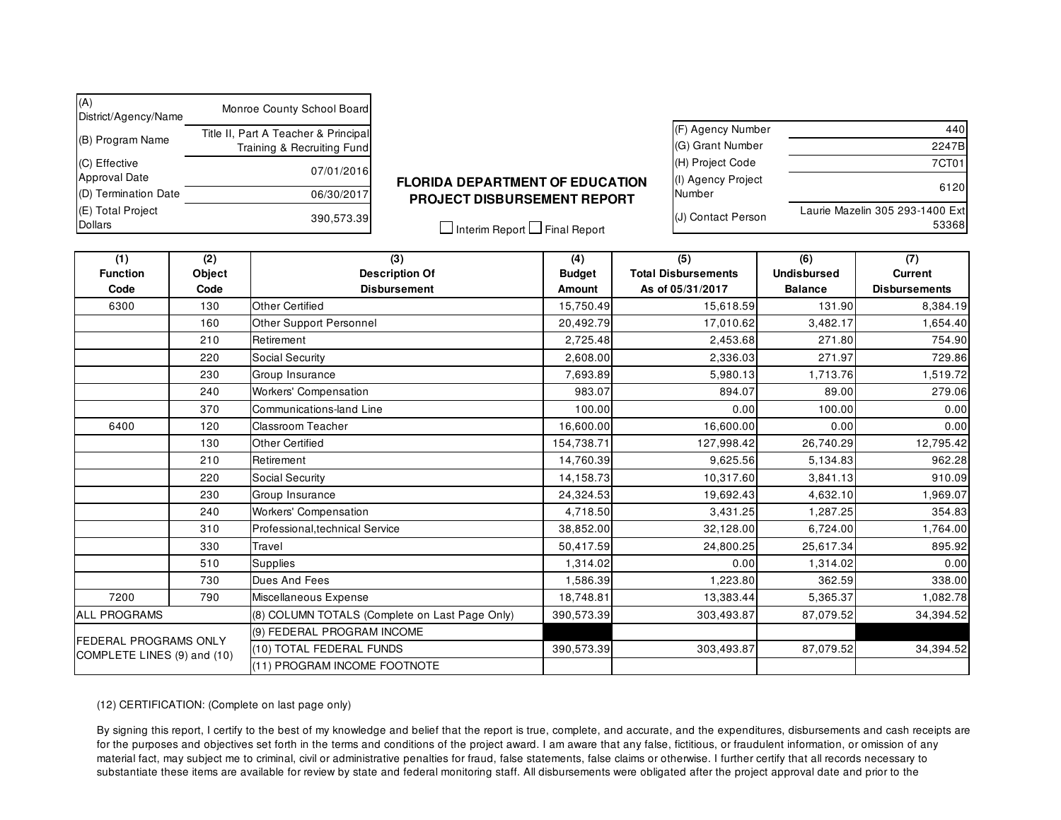| (A)<br>District/Agency/Name           | Monroe County School Board                                         |
|---------------------------------------|--------------------------------------------------------------------|
| (B) Program Name                      | Title II, Part A Teacher & Principal<br>Training & Recruiting Fund |
| (C) Effective<br><b>Approval Date</b> | 07/01/2016                                                         |
| (D) Termination Date                  | 06/30/2017                                                         |
| (E) Total Project<br>Dollars          | 390,573.39                                                         |

## **FLORIDA DEPARTMENT OF EDUCATION PROJECT DISBURSEMENT REPORT**

(F) Agency Number 440 (G) Grant Number 2247B (H) Project Code 7CT01 (I) Agency Project Number 6120 (J) Contact Person Laurie Mazelin 305 293-1400 Ext 53368

 $\Box$  Interim Report  $\Box$  Final Report

| (1)<br><b>Function</b>                                      | (2)<br>Object | $\overline{3)}$<br><b>Description Of</b>                                   | (4)<br><b>Budget</b> | (5)<br><b>Total Disbursements</b> | (6)<br><b>Undisbursed</b> | (7)<br><b>Current</b> |
|-------------------------------------------------------------|---------------|----------------------------------------------------------------------------|----------------------|-----------------------------------|---------------------------|-----------------------|
| Code                                                        | Code          | <b>Disbursement</b>                                                        | Amount               | As of 05/31/2017                  | <b>Balance</b>            | <b>Disbursements</b>  |
| 6300                                                        | 130           | Other Certified                                                            | 15,750.49            | 15,618.59                         | 131.90                    | 8,384.19              |
| 160                                                         |               | Other Support Personnel                                                    | 20,492.79            | 17,010.62                         | 3,482.17                  | 1,654.40              |
|                                                             | 210           | Retirement                                                                 | 2,725.48             | 2,453.68                          | 271.80                    | 754.90                |
|                                                             | 220           | Social Security                                                            | 2.608.00             | 2,336.03                          | 271.97                    | 729.86                |
|                                                             | 230           | Group Insurance                                                            | 7,693.89             | 5,980.13                          | 1,713.76                  | 1,519.72              |
|                                                             | 240           | <b>Workers' Compensation</b>                                               | 983.07               | 894.07                            | 89.00                     | 279.06                |
|                                                             | 370           | Communications-land Line                                                   | 100.00               | 0.00                              | 100.00                    | 0.00                  |
| 6400                                                        | 120           | <b>Classroom Teacher</b>                                                   | 16,600.00            | 16,600.00                         | 0.00                      | 0.00                  |
|                                                             | 130           | Other Certified                                                            | 154,738.71           | 127,998.42                        | 26,740.29                 | 12,795.42             |
|                                                             | 210           | Retirement                                                                 | 14,760.39            | 9,625.56                          | 5,134.83                  | 962.28                |
|                                                             | 220           | Social Security                                                            | 14,158.73            | 10,317.60                         | 3,841.13                  | 910.09                |
|                                                             | 230           | Group Insurance                                                            | 24,324.53            | 19,692.43                         | 4,632.10                  | 1,969.07              |
|                                                             | 240           | <b>Workers' Compensation</b>                                               | 4,718.50             | 3,431.25                          | 1.287.25                  | 354.83                |
|                                                             | 310           | Professional, technical Service                                            | 38,852.00            | 32,128.00                         | 6,724.00                  | 1,764.00              |
|                                                             | 330           | Travel                                                                     | 50,417.59            | 24,800.25                         | 25,617.34                 | 895.92                |
|                                                             | 510           | <b>Supplies</b>                                                            | 1,314.02             | 0.00                              | 1,314.02                  | 0.00                  |
|                                                             | 730           | Dues And Fees                                                              | .586.39              | 1,223.80                          | 362.59                    | 338.00                |
| 7200                                                        | 790           | Miscellaneous Expense                                                      | 18,748.81            | 13,383.44                         | 5,365.37                  | 1,082.78              |
| <b>ALL PROGRAMS</b>                                         |               | (8) COLUMN TOTALS (Complete on Last Page Only)<br>390,573.39<br>303,493.87 |                      | 87,079.52                         | 34,394.52                 |                       |
| <b>FEDERAL PROGRAMS ONLY</b><br>COMPLETE LINES (9) and (10) |               | (9) FEDERAL PROGRAM INCOME                                                 |                      |                                   |                           |                       |
|                                                             |               | (10) TOTAL FEDERAL FUNDS                                                   | 390,573.39           | 303,493.87                        | 87,079.52                 | 34,394.52             |
|                                                             |               | (11) PROGRAM INCOME FOOTNOTE                                               |                      |                                   |                           |                       |

(12) CERTIFICATION: (Complete on last page only)

By signing this report, I certify to the best of my knowledge and belief that the report is true, complete, and accurate, and the expenditures, disbursements and cash receipts are for the purposes and objectives set forth in the terms and conditions of the project award. I am aware that any false, fictitious, or fraudulent information, or omission of any material fact, may subject me to criminal, civil or administrative penalties for fraud, false statements, false claims or otherwise. I further certify that all records necessary to substantiate these items are available for review by state and federal monitoring staff. All disbursements were obligated after the project approval date and prior to the